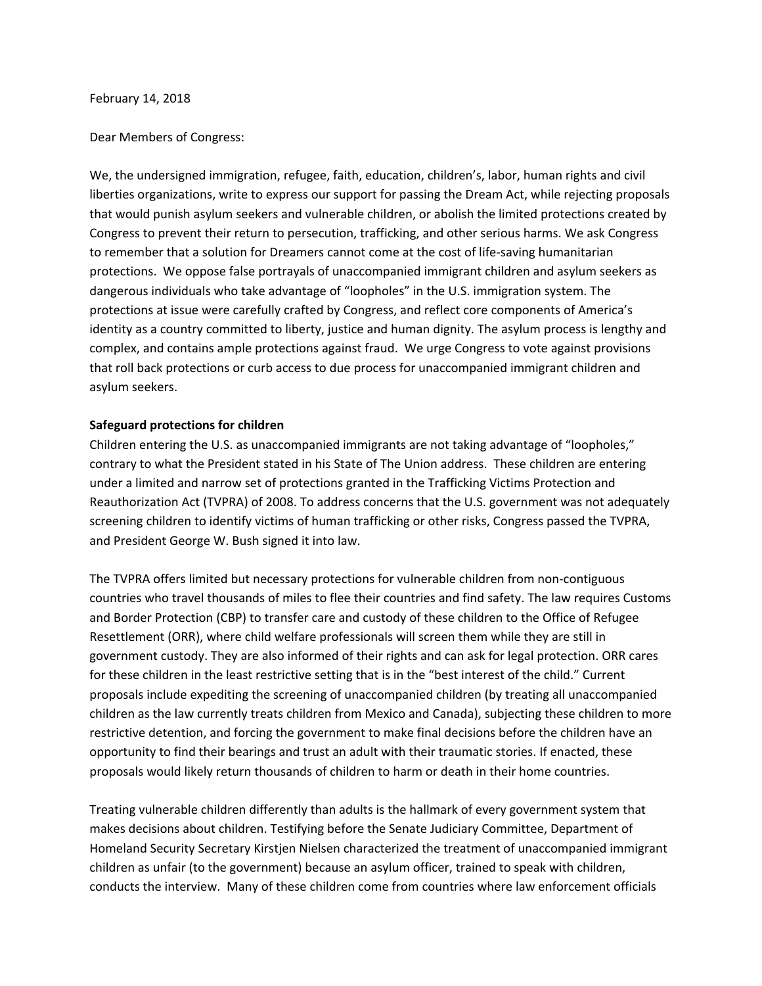## February 14, 2018

## Dear Members of Congress:

We, the undersigned immigration, refugee, faith, education, children's, labor, human rights and civil liberties organizations, write to express our support for passing the Dream Act, while rejecting proposals that would punish asylum seekers and vulnerable children, or abolish the limited protections created by Congress to prevent their return to persecution, trafficking, and other serious harms. We ask Congress to remember that a solution for Dreamers cannot come at the cost of life-saving humanitarian protections. We oppose false portrayals of unaccompanied immigrant children and asylum seekers as dangerous individuals who take advantage of "loopholes" in the U.S. immigration system. The protections at issue were carefully crafted by Congress, and reflect core components of America's identity as a country committed to liberty, justice and human dignity. The asylum process is lengthy and complex, and contains ample protections against fraud. We urge Congress to vote against provisions that roll back protections or curb access to due process for unaccompanied immigrant children and asylum seekers.

## **Safeguard protections for children**

Children entering the U.S. as unaccompanied immigrants are not taking advantage of "loopholes," contrary to what the President stated in his State of The Union address. These children are entering under a limited and narrow set of protections granted in the Trafficking Victims Protection and Reauthorization Act (TVPRA) of 2008. To address concerns that the U.S. government was not adequately screening children to identify victims of human trafficking or other risks, Congress passed the TVPRA, and President George W. Bush signed it into law.

The TVPRA offers limited but necessary protections for vulnerable children from non-contiguous countries who travel thousands of miles to flee their countries and find safety. The law requires Customs and Border Protection (CBP) to transfer care and custody of these children to the Office of Refugee Resettlement (ORR), where child welfare professionals will screen them while they are still in government custody. They are also informed of their rights and can ask for legal protection. ORR cares for these children in the least restrictive setting that is in the "best interest of the child." Current proposals include expediting the screening of unaccompanied children (by treating all unaccompanied children as the law currently treats children from Mexico and Canada), subjecting these children to more restrictive detention, and forcing the government to make final decisions before the children have an opportunity to find their bearings and trust an adult with their traumatic stories. If enacted, these proposals would likely return thousands of children to harm or death in their home countries.

Treating vulnerable children differently than adults is the hallmark of every government system that makes decisions about children. Testifying before the Senate Judiciary Committee, Department of Homeland Security Secretary Kirstjen Nielsen characterized the treatment of unaccompanied immigrant children as unfair (to the government) because an asylum officer, trained to speak with children, conducts the interview. Many of these children come from countries where law enforcement officials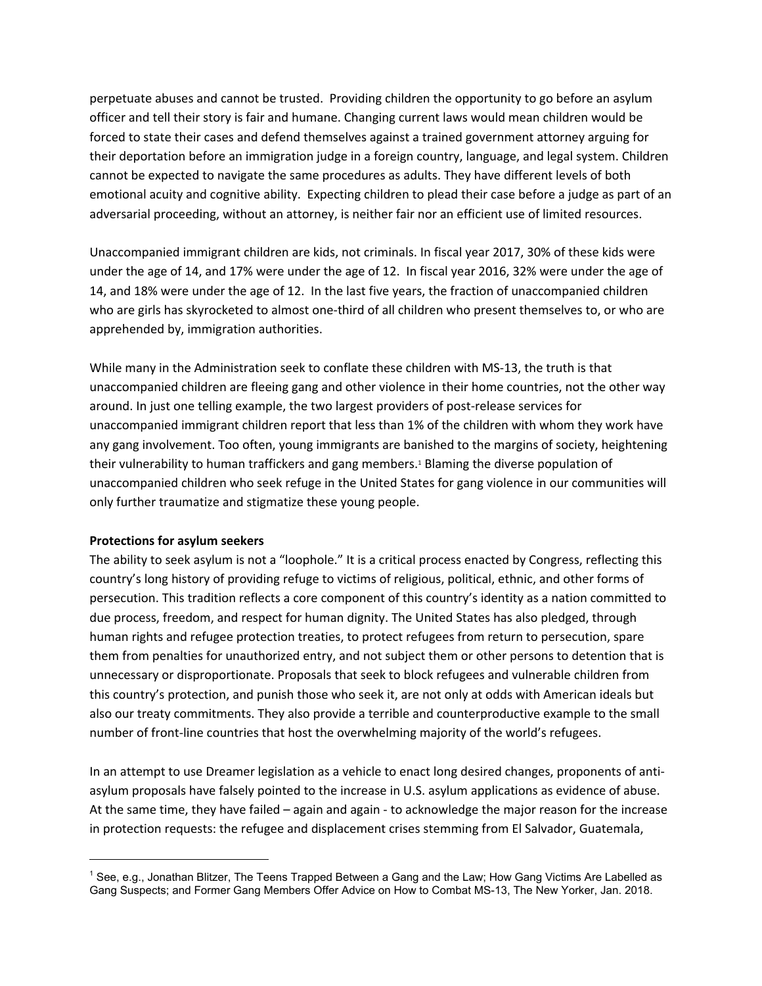perpetuate abuses and cannot be trusted. Providing children the opportunity to go before an asylum officer and tell their story is fair and humane. Changing current laws would mean children would be forced to state their cases and defend themselves against a trained government attorney arguing for their deportation before an immigration judge in a foreign country, language, and legal system. Children cannot be expected to navigate the same procedures as adults. They have different levels of both emotional acuity and cognitive ability. Expecting children to plead their case before a judge as part of an adversarial proceeding, without an attorney, is neither fair nor an efficient use of limited resources.

Unaccompanied immigrant children are kids, not criminals. In fiscal year 2017, 30% of these kids were under the age of 14, and 17% were under the age of 12. In fiscal year 2016, 32% were under the age of 14, and 18% were under the age of 12. In the last five years, the fraction of unaccompanied children who are girls has skyrocketed to almost one-third of all children who present themselves to, or who are apprehended by, immigration authorities.

While many in the Administration seek to conflate these children with MS-13, the truth is that unaccompanied children are fleeing gang and other violence in their home countries, not the other way around. In just one telling example, the two largest providers of post-release services for unaccompanied immigrant children report that less than 1% of the children with whom they work have any gang involvement. Too often, young immigrants are banished to the margins of society, heightening their vulnerability to human traffickers and gang members.<sup>1</sup> Blaming the diverse population of unaccompanied children who seek refuge in the United States for gang violence in our communities will only further traumatize and stigmatize these young people.

## **Protections for asylum seekers**

The ability to seek asylum is not a "loophole." It is a critical process enacted by Congress, reflecting this country's long history of providing refuge to victims of religious, political, ethnic, and other forms of persecution. This tradition reflects a core component of this country's identity as a nation committed to due process, freedom, and respect for human dignity. The United States has also pledged, through human rights and refugee protection treaties, to protect refugees from return to persecution, spare them from penalties for unauthorized entry, and not subject them or other persons to detention that is unnecessary or disproportionate. Proposals that seek to block refugees and vulnerable children from this country's protection, and punish those who seek it, are not only at odds with American ideals but also our treaty commitments. They also provide a terrible and counterproductive example to the small number of front-line countries that host the overwhelming majority of the world's refugees.

In an attempt to use Dreamer legislation as a vehicle to enact long desired changes, proponents of antiasylum proposals have falsely pointed to the increase in U.S. asylum applications as evidence of abuse. At the same time, they have failed – again and again - to acknowledge the major reason for the increase in protection requests: the refugee and displacement crises stemming from El Salvador, Guatemala,

<sup>1</sup> See, e.g., Jonathan Blitzer, The Teens Trapped Between a Gang and the Law; How Gang Victims Are Labelled as Gang Suspects; and Former Gang Members Offer Advice on How to Combat MS-13, The New Yorker, Jan. 2018.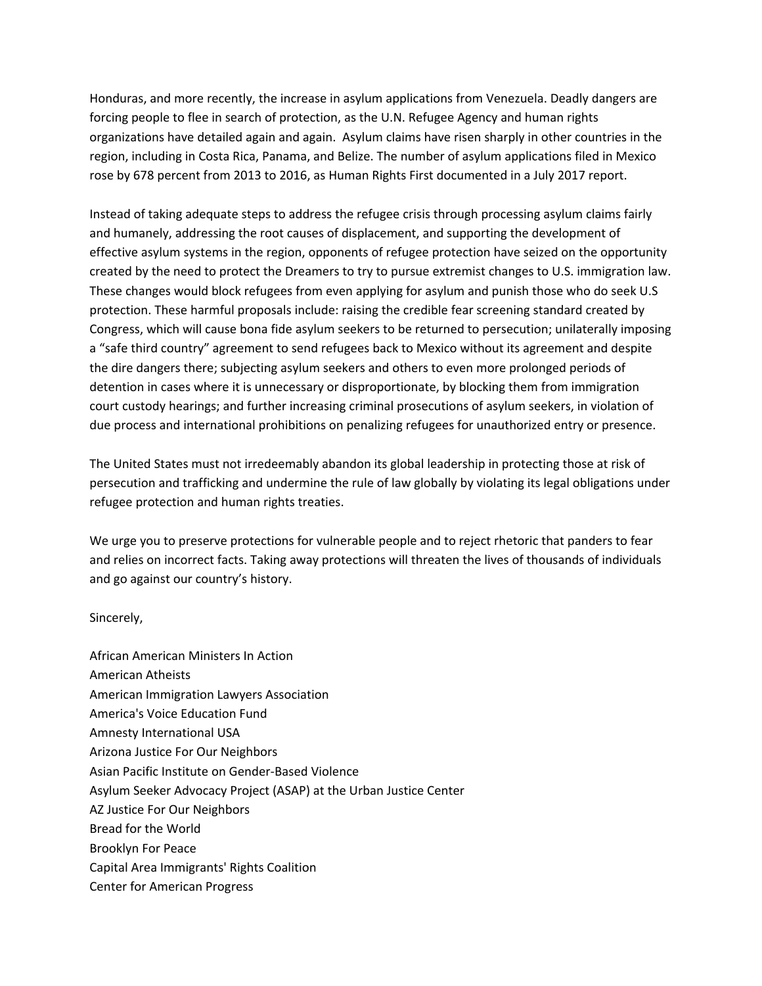Honduras, and more recently, the increase in asylum applications from Venezuela. Deadly dangers are forcing people to flee in search of protection, as the U.N. Refugee Agency and human rights organizations have detailed again and again. Asylum claims have risen sharply in other countries in the region, including in Costa Rica, Panama, and Belize. The number of asylum applications filed in Mexico rose by 678 percent from 2013 to 2016, as Human Rights First documented in a July 2017 report.

Instead of taking adequate steps to address the refugee crisis through processing asylum claims fairly and humanely, addressing the root causes of displacement, and supporting the development of effective asylum systems in the region, opponents of refugee protection have seized on the opportunity created by the need to protect the Dreamers to try to pursue extremist changes to U.S. immigration law. These changes would block refugees from even applying for asylum and punish those who do seek U.S protection. These harmful proposals include: raising the credible fear screening standard created by Congress, which will cause bona fide asylum seekers to be returned to persecution; unilaterally imposing a "safe third country" agreement to send refugees back to Mexico without its agreement and despite the dire dangers there; subjecting asylum seekers and others to even more prolonged periods of detention in cases where it is unnecessary or disproportionate, by blocking them from immigration court custody hearings; and further increasing criminal prosecutions of asylum seekers, in violation of due process and international prohibitions on penalizing refugees for unauthorized entry or presence.

The United States must not irredeemably abandon its global leadership in protecting those at risk of persecution and trafficking and undermine the rule of law globally by violating its legal obligations under refugee protection and human rights treaties.

We urge you to preserve protections for vulnerable people and to reject rhetoric that panders to fear and relies on incorrect facts. Taking away protections will threaten the lives of thousands of individuals and go against our country's history.

Sincerely,

African American Ministers In Action American Atheists American Immigration Lawyers Association America's Voice Education Fund Amnesty International USA Arizona Justice For Our Neighbors Asian Pacific Institute on Gender-Based Violence Asylum Seeker Advocacy Project (ASAP) at the Urban Justice Center AZ Justice For Our Neighbors Bread for the World Brooklyn For Peace Capital Area Immigrants' Rights Coalition Center for American Progress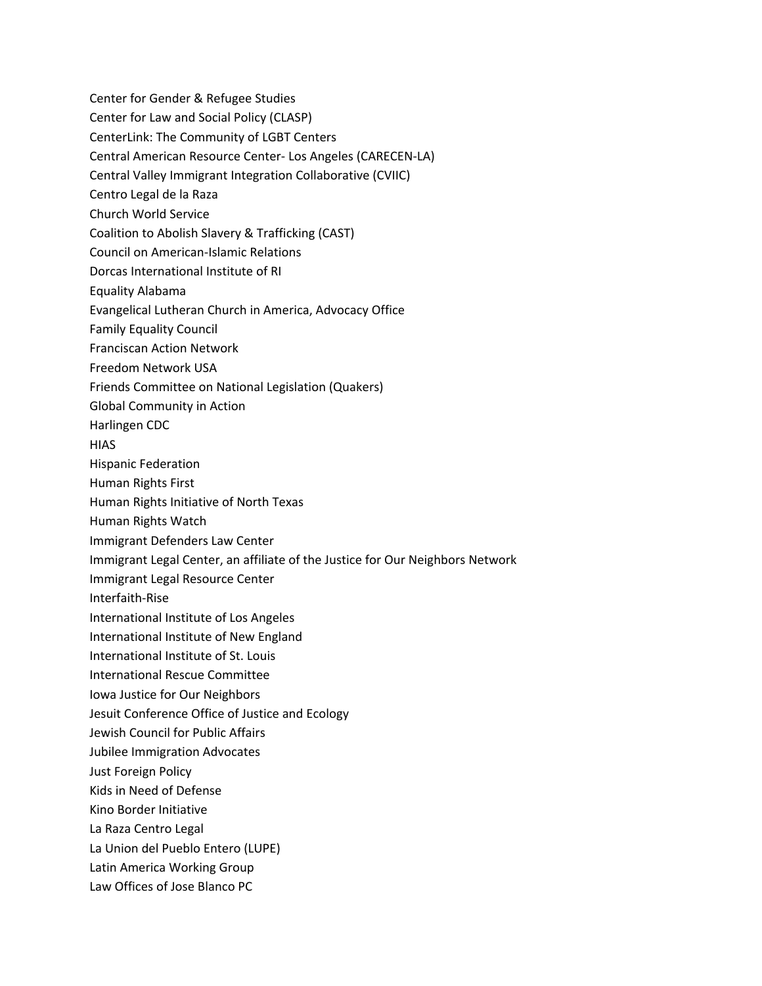- Center for Gender & Refugee Studies Center for Law and Social Policy (CLASP) CenterLink: The Community of LGBT Centers Central American Resource Center- Los Angeles (CARECEN-LA) Central Valley Immigrant Integration Collaborative (CVIIC) Centro Legal de la Raza Church World Service Coalition to Abolish Slavery & Trafficking (CAST) Council on American-Islamic Relations Dorcas International Institute of RI Equality Alabama Evangelical Lutheran Church in America, Advocacy Office Family Equality Council Franciscan Action Network Freedom Network USA Friends Committee on National Legislation (Quakers) Global Community in Action Harlingen CDC **HIAS** Hispanic Federation Human Rights First Human Rights Initiative of North Texas Human Rights Watch Immigrant Defenders Law Center Immigrant Legal Center, an affiliate of the Justice for Our Neighbors Network Immigrant Legal Resource Center Interfaith-Rise International Institute of Los Angeles International Institute of New England International Institute of St. Louis International Rescue Committee Iowa Justice for Our Neighbors Jesuit Conference Office of Justice and Ecology Jewish Council for Public Affairs Jubilee Immigration Advocates Just Foreign Policy Kids in Need of Defense Kino Border Initiative La Raza Centro Legal
- La Union del Pueblo Entero (LUPE)
- Latin America Working Group
- Law Offices of Jose Blanco PC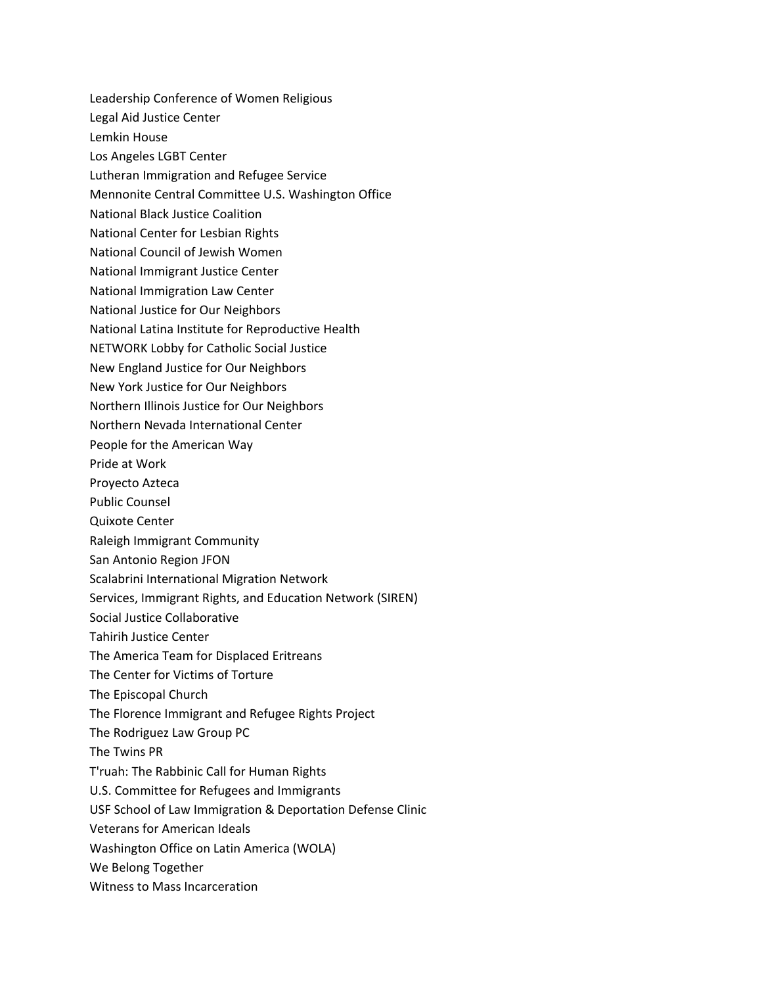Leadership Conference of Women Religious Legal Aid Justice Center Lemkin House Los Angeles LGBT Center Lutheran Immigration and Refugee Service Mennonite Central Committee U.S. Washington Office National Black Justice Coalition National Center for Lesbian Rights National Council of Jewish Women National Immigrant Justice Center National Immigration Law Center National Justice for Our Neighbors National Latina Institute for Reproductive Health NETWORK Lobby for Catholic Social Justice New England Justice for Our Neighbors New York Justice for Our Neighbors Northern Illinois Justice for Our Neighbors Northern Nevada International Center People for the American Way Pride at Work Proyecto Azteca Public Counsel Quixote Center Raleigh Immigrant Community San Antonio Region JFON Scalabrini International Migration Network Services, Immigrant Rights, and Education Network (SIREN) Social Justice Collaborative Tahirih Justice Center The America Team for Displaced Eritreans The Center for Victims of Torture The Episcopal Church The Florence Immigrant and Refugee Rights Project The Rodriguez Law Group PC The Twins PR T'ruah: The Rabbinic Call for Human Rights U.S. Committee for Refugees and Immigrants USF School of Law Immigration & Deportation Defense Clinic Veterans for American Ideals Washington Office on Latin America (WOLA) We Belong Together Witness to Mass Incarceration